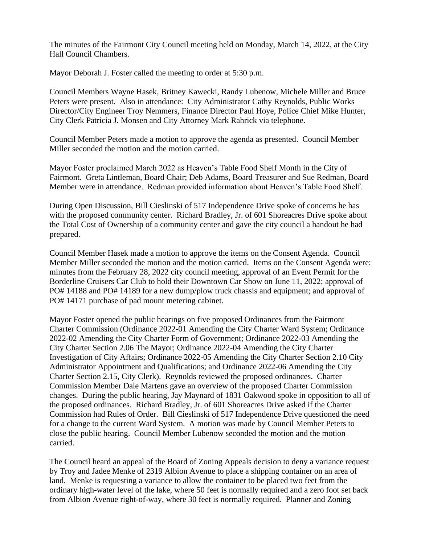The minutes of the Fairmont City Council meeting held on Monday, March 14, 2022, at the City Hall Council Chambers.

Mayor Deborah J. Foster called the meeting to order at 5:30 p.m.

Council Members Wayne Hasek, Britney Kawecki, Randy Lubenow, Michele Miller and Bruce Peters were present. Also in attendance: City Administrator Cathy Reynolds, Public Works Director/City Engineer Troy Nemmers, Finance Director Paul Hoye, Police Chief Mike Hunter, City Clerk Patricia J. Monsen and City Attorney Mark Rahrick via telephone.

Council Member Peters made a motion to approve the agenda as presented. Council Member Miller seconded the motion and the motion carried.

Mayor Foster proclaimed March 2022 as Heaven's Table Food Shelf Month in the City of Fairmont. Greta Lintleman, Board Chair; Deb Adams, Board Treasurer and Sue Redman, Board Member were in attendance. Redman provided information about Heaven's Table Food Shelf.

During Open Discussion, Bill Cieslinski of 517 Independence Drive spoke of concerns he has with the proposed community center. Richard Bradley, Jr. of 601 Shoreacres Drive spoke about the Total Cost of Ownership of a community center and gave the city council a handout he had prepared.

Council Member Hasek made a motion to approve the items on the Consent Agenda. Council Member Miller seconded the motion and the motion carried. Items on the Consent Agenda were: minutes from the February 28, 2022 city council meeting, approval of an Event Permit for the Borderline Cruisers Car Club to hold their Downtown Car Show on June 11, 2022; approval of PO# 14188 and PO# 14189 for a new dump/plow truck chassis and equipment; and approval of PO# 14171 purchase of pad mount metering cabinet.

Mayor Foster opened the public hearings on five proposed Ordinances from the Fairmont Charter Commission (Ordinance 2022-01 Amending the City Charter Ward System; Ordinance 2022-02 Amending the City Charter Form of Government; Ordinance 2022-03 Amending the City Charter Section 2.06 The Mayor; Ordinance 2022-04 Amending the City Charter Investigation of City Affairs; Ordinance 2022-05 Amending the City Charter Section 2.10 City Administrator Appointment and Qualifications; and Ordinance 2022-06 Amending the City Charter Section 2.15, City Clerk). Reynolds reviewed the proposed ordinances. Charter Commission Member Dale Martens gave an overview of the proposed Charter Commission changes. During the public hearing, Jay Maynard of 1831 Oakwood spoke in opposition to all of the proposed ordinances. Richard Bradley, Jr. of 601 Shoreacres Drive asked if the Charter Commission had Rules of Order. Bill Cieslinski of 517 Independence Drive questioned the need for a change to the current Ward System. A motion was made by Council Member Peters to close the public hearing. Council Member Lubenow seconded the motion and the motion carried.

The Council heard an appeal of the Board of Zoning Appeals decision to deny a variance request by Troy and Jadee Menke of 2319 Albion Avenue to place a shipping container on an area of land. Menke is requesting a variance to allow the container to be placed two feet from the ordinary high-water level of the lake, where 50 feet is normally required and a zero foot set back from Albion Avenue right-of-way, where 30 feet is normally required. Planner and Zoning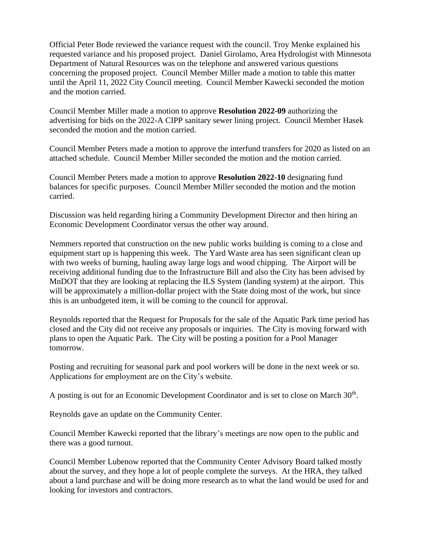Official Peter Bode reviewed the variance request with the council. Troy Menke explained his requested variance and his proposed project. Daniel Girolamo, Area Hydrologist with Minnesota Department of Natural Resources was on the telephone and answered various questions concerning the proposed project. Council Member Miller made a motion to table this matter until the April 11, 2022 City Council meeting. Council Member Kawecki seconded the motion and the motion carried.

Council Member Miller made a motion to approve **Resolution 2022-09** authorizing the advertising for bids on the 2022-A CIPP sanitary sewer lining project. Council Member Hasek seconded the motion and the motion carried.

Council Member Peters made a motion to approve the interfund transfers for 2020 as listed on an attached schedule. Council Member Miller seconded the motion and the motion carried.

Council Member Peters made a motion to approve **Resolution 2022-10** designating fund balances for specific purposes. Council Member Miller seconded the motion and the motion carried.

Discussion was held regarding hiring a Community Development Director and then hiring an Economic Development Coordinator versus the other way around.

Nemmers reported that construction on the new public works building is coming to a close and equipment start up is happening this week. The Yard Waste area has seen significant clean up with two weeks of burning, hauling away large logs and wood chipping. The Airport will be receiving additional funding due to the Infrastructure Bill and also the City has been advised by MnDOT that they are looking at replacing the ILS System (landing system) at the airport. This will be approximately a million-dollar project with the State doing most of the work, but since this is an unbudgeted item, it will be coming to the council for approval.

Reynolds reported that the Request for Proposals for the sale of the Aquatic Park time period has closed and the City did not receive any proposals or inquiries. The City is moving forward with plans to open the Aquatic Park. The City will be posting a position for a Pool Manager tomorrow.

Posting and recruiting for seasonal park and pool workers will be done in the next week or so. Applications for employment are on the City's website.

A posting is out for an Economic Development Coordinator and is set to close on March 30<sup>th</sup>.

Reynolds gave an update on the Community Center.

Council Member Kawecki reported that the library's meetings are now open to the public and there was a good turnout.

Council Member Lubenow reported that the Community Center Advisory Board talked mostly about the survey, and they hope a lot of people complete the surveys. At the HRA, they talked about a land purchase and will be doing more research as to what the land would be used for and looking for investors and contractors.